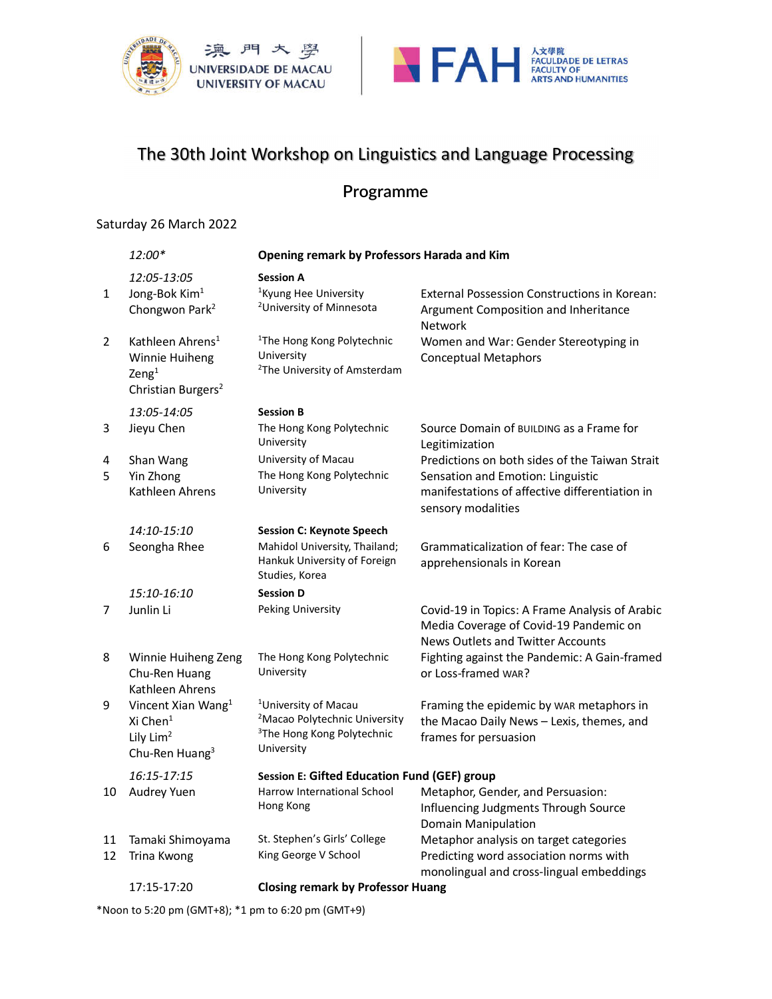



# The 30th Joint Workshop on Linguistics and Language Processing

## **Programme**

#### Saturday 26 March 2022

|              | 12:00*                                                                                                        | Opening remark by Professors Harada and Kim                                                                                           |                                                                                                                                                             |
|--------------|---------------------------------------------------------------------------------------------------------------|---------------------------------------------------------------------------------------------------------------------------------------|-------------------------------------------------------------------------------------------------------------------------------------------------------------|
| $\mathbf{1}$ | 12:05-13:05<br>Jong-Bok Kim <sup>1</sup><br>Chongwon Park <sup>2</sup>                                        | <b>Session A</b><br><sup>1</sup> Kyung Hee University<br><sup>2</sup> University of Minnesota                                         | <b>External Possession Constructions in Korean:</b><br>Argument Composition and Inheritance                                                                 |
|              |                                                                                                               |                                                                                                                                       | Network                                                                                                                                                     |
| 2            | Kathleen Ahrens <sup>1</sup><br>Winnie Huiheng<br>$\text{Zeng}^1$<br>Christian Burgers <sup>2</sup>           | <sup>1</sup> The Hong Kong Polytechnic<br>University<br><sup>2</sup> The University of Amsterdam                                      | Women and War: Gender Stereotyping in<br><b>Conceptual Metaphors</b>                                                                                        |
|              | 13:05-14:05                                                                                                   | <b>Session B</b>                                                                                                                      |                                                                                                                                                             |
| 3            | Jieyu Chen                                                                                                    | The Hong Kong Polytechnic<br>University                                                                                               | Source Domain of BUILDING as a Frame for<br>Legitimization                                                                                                  |
| 4<br>5       | Shan Wang<br>Yin Zhong<br>Kathleen Ahrens                                                                     | University of Macau<br>The Hong Kong Polytechnic<br>University                                                                        | Predictions on both sides of the Taiwan Strait<br>Sensation and Emotion: Linguistic<br>manifestations of affective differentiation in<br>sensory modalities |
|              | 14:10-15:10                                                                                                   | <b>Session C: Keynote Speech</b>                                                                                                      |                                                                                                                                                             |
| 6            | Seongha Rhee                                                                                                  | Mahidol University, Thailand;<br>Hankuk University of Foreign<br>Studies, Korea                                                       | Grammaticalization of fear: The case of<br>apprehensionals in Korean                                                                                        |
|              | 15:10-16:10                                                                                                   | <b>Session D</b>                                                                                                                      |                                                                                                                                                             |
| 7            | Junlin Li                                                                                                     | Peking University                                                                                                                     | Covid-19 in Topics: A Frame Analysis of Arabic<br>Media Coverage of Covid-19 Pandemic on<br><b>News Outlets and Twitter Accounts</b>                        |
| 8            | Winnie Huiheng Zeng<br>Chu-Ren Huang<br>Kathleen Ahrens                                                       | The Hong Kong Polytechnic<br>University                                                                                               | Fighting against the Pandemic: A Gain-framed<br>or Loss-framed WAR?                                                                                         |
| 9            | Vincent Xian Wang <sup>1</sup><br>Xi Chen <sup>1</sup><br>Lily Lim <sup>2</sup><br>Chu-Ren Huang <sup>3</sup> | <sup>1</sup> University of Macau<br><sup>2</sup> Macao Polytechnic University<br><sup>3</sup> The Hong Kong Polytechnic<br>University | Framing the epidemic by WAR metaphors in<br>the Macao Daily News - Lexis, themes, and<br>frames for persuasion                                              |
|              | 16:15-17:15                                                                                                   | Session E: Gifted Education Fund (GEF) group                                                                                          |                                                                                                                                                             |
| 10           | Audrey Yuen                                                                                                   | Harrow International School<br>Hong Kong                                                                                              | Metaphor, Gender, and Persuasion:<br>Influencing Judgments Through Source<br>Domain Manipulation                                                            |
| 11<br>12     | Tamaki Shimoyama<br>Trina Kwong                                                                               | St. Stephen's Girls' College<br>King George V School                                                                                  | Metaphor analysis on target categories<br>Predicting word association norms with<br>monolingual and cross-lingual embeddings                                |
|              | 17:15-17:20                                                                                                   | <b>Closing remark by Professor Huang</b>                                                                                              |                                                                                                                                                             |

\*Noon to 5:20 pm (GMT+8); \*1 pm to 6:20 pm (GMT+9)